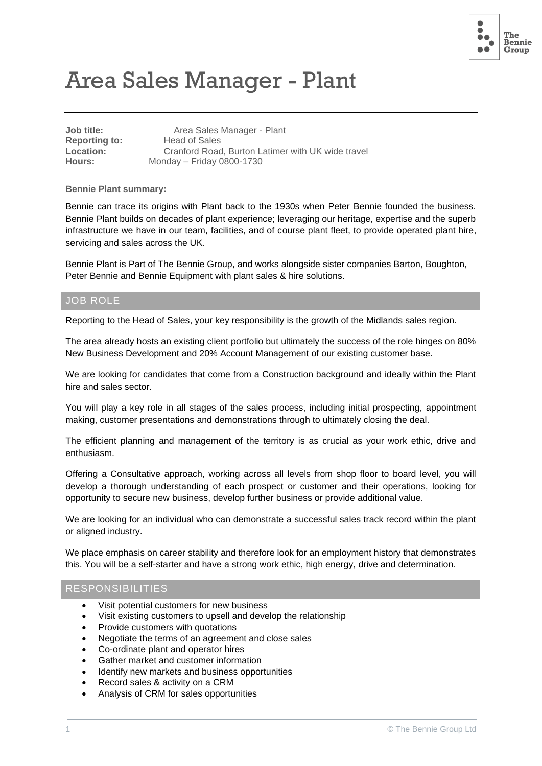

# Area Sales Manager - Plant

| Job title:           | Area Sales Manager - Plant                        |
|----------------------|---------------------------------------------------|
| <b>Reporting to:</b> | Head of Sales                                     |
| <b>Location:</b>     | Cranford Road, Burton Latimer with UK wide travel |
| Hours:               | Monday - Friday 0800-1730                         |
|                      |                                                   |

**Bennie Plant summary:**

Bennie can trace its origins with Plant back to the 1930s when Peter Bennie founded the business. Bennie Plant builds on decades of plant experience; leveraging our heritage, expertise and the superb infrastructure we have in our team, facilities, and of course plant fleet, to provide operated plant hire, servicing and sales across the UK.

Bennie Plant is Part of The Bennie Group, and works alongside sister companies Barton, Boughton, Peter Bennie and Bennie Equipment with plant sales & hire solutions.

#### JOB ROLE

Reporting to the Head of Sales, your key responsibility is the growth of the Midlands sales region.

The area already hosts an existing client portfolio but ultimately the success of the role hinges on 80% New Business Development and 20% Account Management of our existing customer base.

We are looking for candidates that come from a Construction background and ideally within the Plant hire and sales sector.

You will play a key role in all stages of the sales process, including initial prospecting, appointment making, customer presentations and demonstrations through to ultimately closing the deal.

The efficient planning and management of the territory is as crucial as your work ethic, drive and enthusiasm.

Offering a Consultative approach, working across all levels from shop floor to board level, you will develop a thorough understanding of each prospect or customer and their operations, looking for opportunity to secure new business, develop further business or provide additional value.

We are looking for an individual who can demonstrate a successful sales track record within the plant or aligned industry.

We place emphasis on career stability and therefore look for an employment history that demonstrates this. You will be a self-starter and have a strong work ethic, high energy, drive and determination.

#### RESPONSIBILITIES

- Visit potential customers for new business
- Visit existing customers to upsell and develop the relationship
- Provide customers with quotations
- Negotiate the terms of an agreement and close sales
- Co-ordinate plant and operator hires
- Gather market and customer information
- Identify new markets and business opportunities
- Record sales & activity on a CRM
- Analysis of CRM for sales opportunities